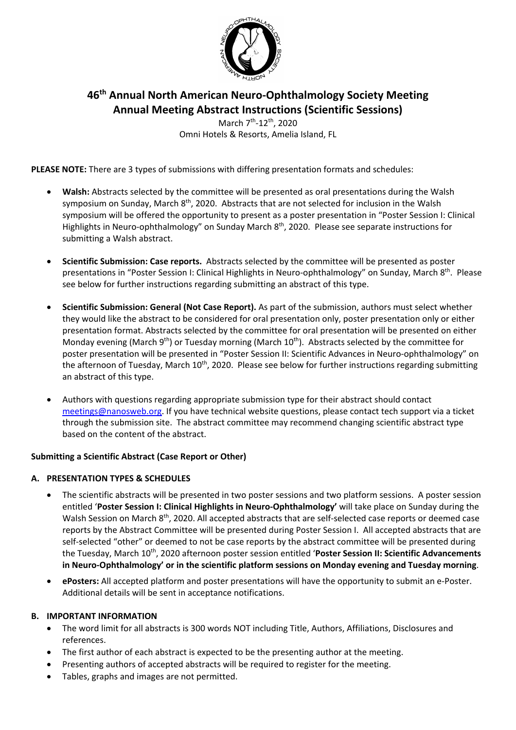

# **46th Annual North American Neuro-Ophthalmology Society Meeting Annual Meeting Abstract Instructions (Scientific Sessions)**

March 7<sup>th</sup>-12<sup>th</sup>, 2020 Omni Hotels & Resorts, Amelia Island, FL

**PLEASE NOTE:** There are 3 types of submissions with differing presentation formats and schedules:

- **Walsh:** Abstracts selected by the committee will be presented as oral presentations during the Walsh symposium on Sunday, March 8<sup>th</sup>, 2020. Abstracts that are not selected for inclusion in the Walsh symposium will be offered the opportunity to present as a poster presentation in "Poster Session I: Clinical Highlights in Neuro-ophthalmology" on Sunday March 8<sup>th</sup>, 2020. Please see separate instructions for submitting a Walsh abstract.
- **Scientific Submission: Case reports.** Abstracts selected by the committee will be presented as poster presentations in "Poster Session I: Clinical Highlights in Neuro-ophthalmology" on Sunday, March 8<sup>th</sup>. Please see below for further instructions regarding submitting an abstract of this type.
- **Scientific Submission: General (Not Case Report).** As part of the submission, authors must select whether they would like the abstract to be considered for oral presentation only, poster presentation only or either presentation format. Abstracts selected by the committee for oral presentation will be presented on either Monday evening (March 9<sup>th</sup>) or Tuesday morning (March 10<sup>th</sup>). Abstracts selected by the committee for poster presentation will be presented in "Poster Session II: Scientific Advances in Neuro-ophthalmology" on the afternoon of Tuesday, March 10<sup>th</sup>, 2020. Please see below for further instructions regarding submitting an abstract of this type.
- Authors with questions regarding appropriate submission type for their abstract should contact [meetings@nanosweb.org.](mailto:meetings@nanosweb.org) If you have technical website questions, please contact tech support via a ticket through the submission site. The abstract committee may recommend changing scientific abstract type based on the content of the abstract.

# **Submitting a Scientific Abstract (Case Report or Other)**

### **A. PRESENTATION TYPES & SCHEDULES**

- The scientific abstracts will be presented in two poster sessions and two platform sessions. A poster session entitled '**Poster Session I: Clinical Highlights in Neuro-Ophthalmology'** will take place on Sunday during the Walsh Session on March 8<sup>th</sup>, 2020. All accepted abstracts that are self-selected case reports or deemed case reports by the Abstract Committee will be presented during Poster Session I. All accepted abstracts that are self-selected "other" or deemed to not be case reports by the abstract committee will be presented during the Tuesday, March 10th, 2020 afternoon poster session entitled '**Poster Session II: Scientific Advancements in Neuro-Ophthalmology' or in the scientific platform sessions on Monday evening and Tuesday morning**.
- **ePosters:** All accepted platform and poster presentations will have the opportunity to submit an e-Poster. Additional details will be sent in acceptance notifications.

### **B. IMPORTANT INFORMATION**

- The word limit for all abstracts is 300 words NOT including Title, Authors, Affiliations, Disclosures and references.
- The first author of each abstract is expected to be the presenting author at the meeting.
- Presenting authors of accepted abstracts will be required to register for the meeting.
- Tables, graphs and images are not permitted.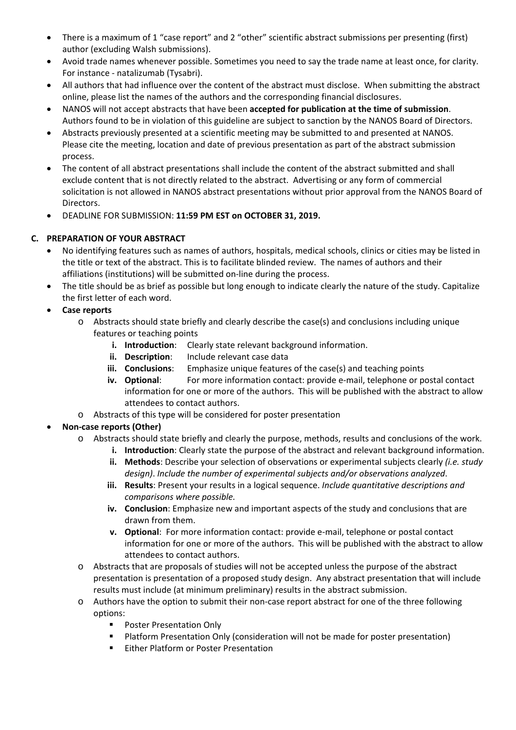- There is a maximum of 1 "case report" and 2 "other" scientific abstract submissions per presenting (first) author (excluding Walsh submissions).
- Avoid trade names whenever possible. Sometimes you need to say the trade name at least once, for clarity. For instance - natalizumab (Tysabri).
- All authors that had influence over the content of the abstract must disclose. When submitting the abstract online, please list the names of the authors and the corresponding financial disclosures.
- NANOS will not accept abstracts that have been **accepted for publication at the time of submission**. Authors found to be in violation of this guideline are subject to sanction by the NANOS Board of Directors.
- Abstracts previously presented at a scientific meeting may be submitted to and presented at NANOS. Please cite the meeting, location and date of previous presentation as part of the abstract submission process.
- The content of all abstract presentations shall include the content of the abstract submitted and shall exclude content that is not directly related to the abstract. Advertising or any form of commercial solicitation is not allowed in NANOS abstract presentations without prior approval from the NANOS Board of Directors.
- DEADLINE FOR SUBMISSION: **11:59 PM EST on OCTOBER 31, 2019.**

# **C. PREPARATION OF YOUR ABSTRACT**

- No identifying features such as names of authors, hospitals, medical schools, clinics or cities may be listed in the title or text of the abstract. This is to facilitate blinded review. The names of authors and their affiliations (institutions) will be submitted on-line during the process.
- The title should be as brief as possible but long enough to indicate clearly the nature of the study. Capitalize the first letter of each word.
- **Case reports**
	- o Abstracts should state briefly and clearly describe the case(s) and conclusions including unique features or teaching points
		- **i. Introduction**: Clearly state relevant background information.
		- **ii. Description**: Include relevant case data
		- **iii. Conclusions**: Emphasize unique features of the case(s) and teaching points
		- **iv. Optional**: For more information contact: provide e-mail, telephone or postal contact information for one or more of the authors. This will be published with the abstract to allow attendees to contact authors.
	- o Abstracts of this type will be considered for poster presentation
- **Non-case reports (Other)**
	- o Abstracts should state briefly and clearly the purpose, methods, results and conclusions of the work.
		- **i. Introduction**: Clearly state the purpose of the abstract and relevant background information. **ii. Methods**: Describe your selection of observations or experimental subjects clearly *(i.e. study*
		- *design)*. *Include the number of experimental subjects and/or observations analyzed*. **iii. Results**: Present your results in a logical sequence. *Include quantitative descriptions and comparisons where possible.*
		- **iv. Conclusion**: Emphasize new and important aspects of the study and conclusions that are drawn from them.
		- **v. Optional**: For more information contact: provide e-mail, telephone or postal contact information for one or more of the authors. This will be published with the abstract to allow attendees to contact authors.
	- o Abstracts that are proposals of studies will not be accepted unless the purpose of the abstract presentation is presentation of a proposed study design. Any abstract presentation that will include results must include (at minimum preliminary) results in the abstract submission.
	- o Authors have the option to submit their non-case report abstract for one of the three following options:
		- **Poster Presentation Only**
		- Platform Presentation Only (consideration will not be made for poster presentation)
		- **Either Platform or Poster Presentation**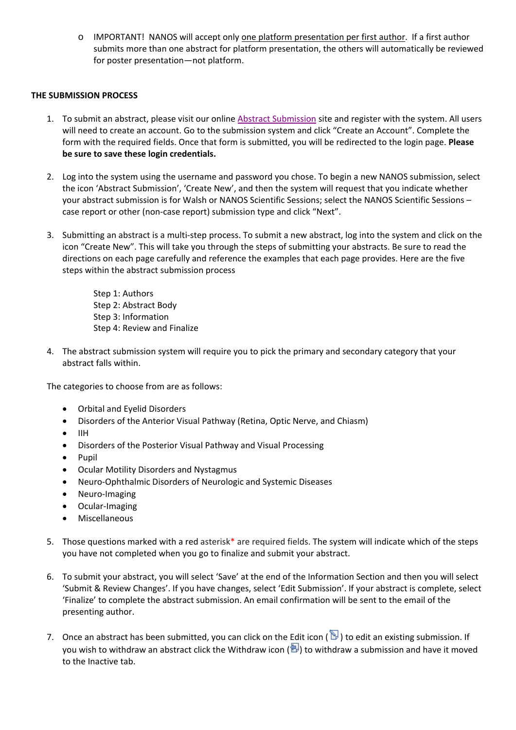o IMPORTANT! NANOS will accept only one platform presentation per first author. If a first author submits more than one abstract for platform presentation, the others will automatically be reviewed for poster presentation—not platform.

## **THE SUBMISSION PROCESS**

- 1. To submit an abstract, please visit our online [Abstract Submission](https://precis2.preciscentral.com/Link.aspx?ID=20466569ED895A468D386D4C90454B8B) site and register with the system. All users will need to create an account. Go to the submission system and click "Create an Account". Complete the form with the required fields. Once that form is submitted, you will be redirected to the login page. **Please be sure to save these login credentials.**
- 2. Log into the system using the username and password you chose. To begin a new NANOS submission, select the icon 'Abstract Submission', 'Create New', and then the system will request that you indicate whether your abstract submission is for Walsh or NANOS Scientific Sessions; select the NANOS Scientific Sessions – case report or other (non-case report) submission type and click "Next".
- 3. Submitting an abstract is a multi-step process. To submit a new abstract, log into the system and click on the icon "Create New". This will take you through the steps of submitting your abstracts. Be sure to read the directions on each page carefully and reference the examples that each page provides. Here are the five steps within the abstract submission process

Step 1: Authors Step 2: Abstract Body Step 3: Information Step 4: Review and Finalize

4. The abstract submission system will require you to pick the primary and secondary category that your abstract falls within.

The categories to choose from are as follows:

- Orbital and Eyelid Disorders
- Disorders of the Anterior Visual Pathway (Retina, Optic Nerve, and Chiasm)
- IIH
- Disorders of the Posterior Visual Pathway and Visual Processing
- Pupil
- Ocular Motility Disorders and Nystagmus
- Neuro-Ophthalmic Disorders of Neurologic and Systemic Diseases
- Neuro-Imaging
- Ocular-Imaging
- Miscellaneous
- 5. Those questions marked with a red asterisk\* are required fields. The system will indicate which of the steps you have not completed when you go to finalize and submit your abstract.
- 6. To submit your abstract, you will select 'Save' at the end of the Information Section and then you will select 'Submit & Review Changes'. If you have changes, select 'Edit Submission'. If your abstract is complete, select 'Finalize' to complete the abstract submission. An email confirmation will be sent to the email of the presenting author.
- 7. Once an abstract has been submitted, you can click on the Edit icon ( $\mathbb D$ ) to edit an existing submission. If you wish to withdraw an abstract click the Withdraw icon ( $\bigcirc$ ) to withdraw a submission and have it moved to the Inactive tab.